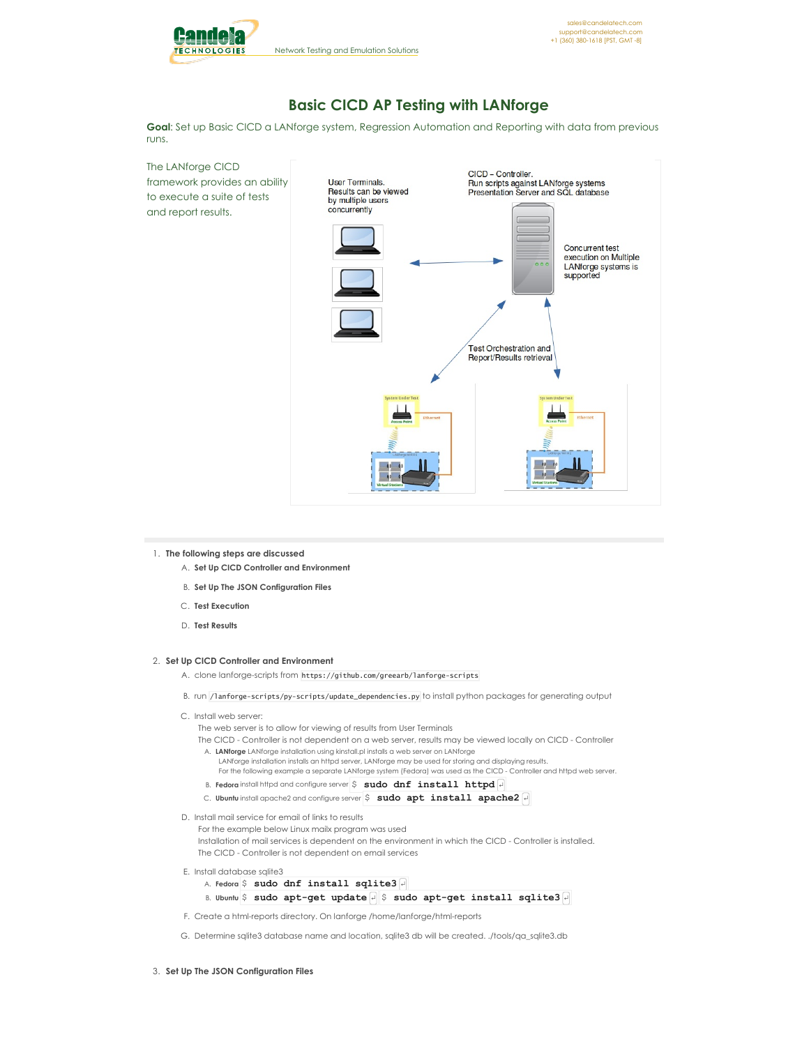

# **Basic CICD AP Testing with LANforge**

**Goal**: Set up Basic CICD a LANforge system, Regression Automation and Reporting with data from previous runs.

The LANforge CICD framework provides an ability to execute a suite of tests and report results.



#### 1. **The following steps are discussed**

- A. **Set Up CICD Controller and Environment**
- B. **Set Up The JSON Configuration Files**
- C. **Test Execution**
- D. **Test Results**

### 2. **Set Up CICD Controller and Environment**

- A. clone lanforge-scripts from https://github.com/greearb/lanforge-scripts
- B. run /lanforge-scripts/py-scripts/update\_dependencies.py to install python packages for generating output
- C. Install web server:

The web server is to allow for viewing of results from User Terminals

The CICD - Controller is not dependent on a web server, results may be viewed locally on CICD - Controller A. **LANforge** LANforge installation using kinstall.pl installs a web server on LANforge LANforge installation installs an httpd server, LANforge may be used for storing and displaying results.

For the following example a separate LANforge system (Fedora) was used as the CICD - Controller and httpd web server.

- B. **Fedora** install httpd and configure server  $\frac{1}{2}$  **sudo dnf** install httpd  $\frac{1}{4}$
- C. **Ubuntu** install apache2 and configure server \$ **sudo apt install apache2** ↵
- D. Install mail service for email of links to results

For the example below Linux mailx program was used Installation of mail services is dependent on the environment in which the CICD - Controller is installed. The CICD - Controller is not dependent on email services

- E. Install database sqlite3
	- A. **Fedora** \$ **sudo dnf install sqlite3** ↵
	- B. **Ubuntu** \$ **sudo apt-get update** ↵ \$ **sudo apt-get install sqlite3** ↵
- F. Create a html-reports directory. On lanforge /home/lanforge/html-reports
- G. Determine sqlite3 database name and location, sqlite3 db will be created. ./tools/qa\_sqlite3.db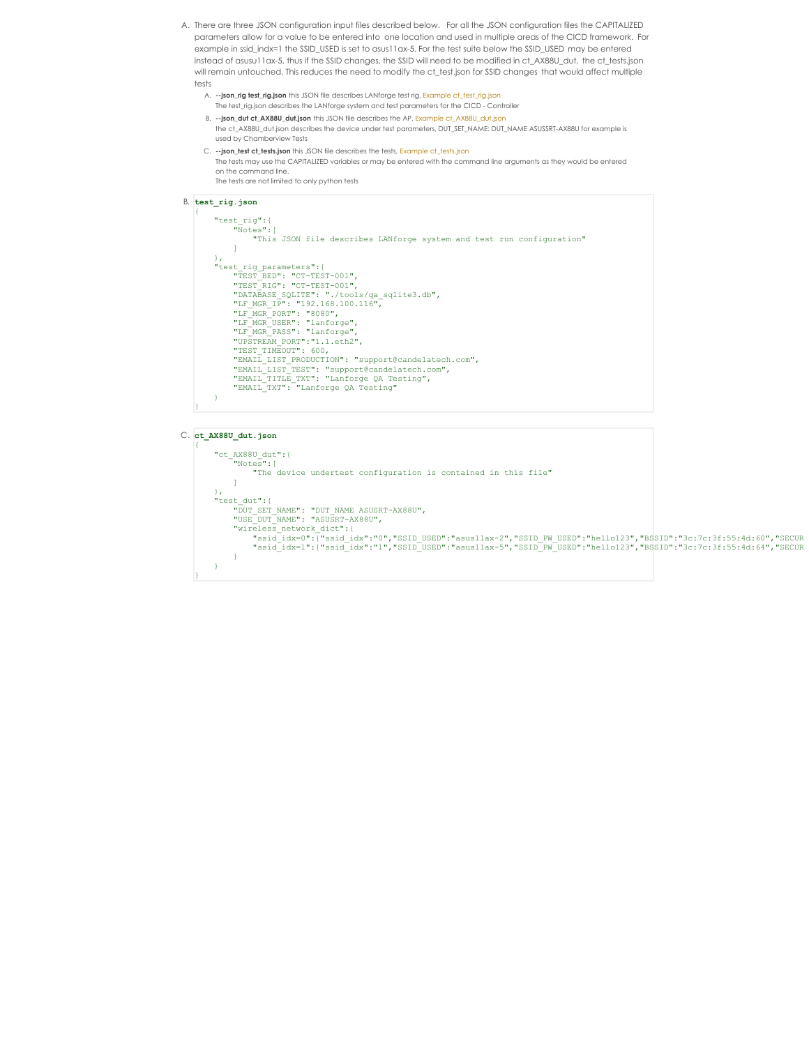- A. There are three JSON configuration input files described below. For all the JSON configuration files the CAPITALIZED parameters allow for a value to be entered into one location and used in multiple areas of the CICD framework. For example in ssid\_indx=1 the SSID\_USED is set to asus11ax-5. For the test suite below the SSID\_USED may be entered instead of asusu11ax-5, thus if the SSID changes, the SSID will need to be modified in ct\_AX88U\_dut, the ct\_tests.json will remain untouched. This reduces the need to modify the ct\_test.json for SSID changes that would affect multiple tests
	- A. **--json\_rig test\_rig.json** this JSON file describes LANforge test rig, Example [ct\\_test\\_rig.json](http://www.candelatech.com/examples/cb_eg_cv_view_basic_cicd_ap_testing/ct_test_rig.json) The test\_rig.json describes the LANforge system and test parameters for the CICD -Controller
	- B. **--json\_dut ct\_AX88U\_dut.json** this JSON file describes the AP, Example [ct\\_AX88U\\_dut.json](http://www.candelatech.com/examples/cb_eg_cv_view_basic_cicd_ap_testing/ct_AX88U_dut.json)
	- the ct\_AX88U\_dut.json describes the device under test parameters, DUT\_SET\_NAME: DUT\_NAME ASUSSRT-AX88U for example is used by Chamberview Tests
	- C. --json\_test [ct\\_tests.json](http://www.candelatech.com/examples/cb_eg_cv_view_basic_cicd_ap_testing/ct_tests.json) this JSON file describes the tests, Example ct\_tests.json The tests may use the CAPITALIZED variables or may be entered with the command line arguments as they would be entered on the command line. The tests are not limited to only python tests

### B. **test\_rig.json**

```
{
          "test_rig":{
                      "Notes":[
                                "This JSON file describes LANforge system and test run configuration"
           ),<br>"test_rig_parameters":{<br>"TEST_BED": "CT-TEST-001",<br>"TEST_RIG": "CT-TEST-001",<br>"DATRABASE_SQLITE": "./tools/qa_sqlite3.db",<br>"LF_MGR_IP": "192.168.100.116",<br>"LF_MGR_FORT": "8080",<br>"LF_MGR_DSER": "lanforge",<br>"LF_MGR_DSER":
                      "TEST_TIMEOUT": 600,<br>"EMAIL_LIST_PRODUCTION": "support@candelatech.com",<br>"EMAIL_LIST_TEST": "support@candelatech.com",<br>"EMAIL_TITLE_TXT": "Lanforge QA Testing",<br>"EMAIL_TXT": "Lanforge QA Testing"
          }
}
```
#### C. **ct\_AX88U\_dut.json**

```
{
     "ct_AX88U_dut":{
           "Notes":[
                "The device undertest configuration is contained in this file"
          ]
     },
"test_dut":{
           "DUT_SET_NAME": "DUT_NAME<br>"USE_DUT_NAME": "ASUSRT-AX88U",<br>"wireless_network_dict":{<br>"wireless_network_dict":{<br>"ssid_idx=0":{"ssid_idx":"0","SSID_USED":"asus11ax-2","SSID_PW_USED":"hello123","BSSID":"3c:7c:3f:55:4d:60","SEC
     }
}
```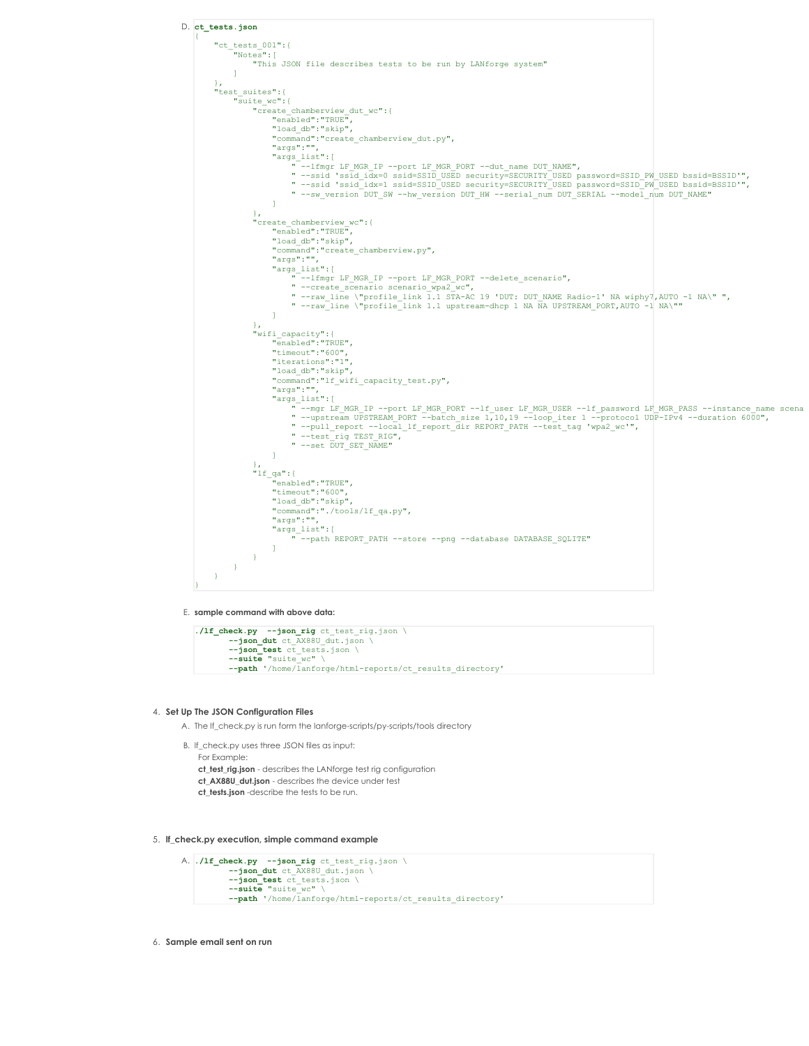

E. **sample command with above data:**

```
./lf_check.py --json_rig ct_test_rig.json \
          --json_dut ct_AX88U_dut.json \
          --json_test ct_tests.json \<br>--suite "suite_wc" \<br>--path '/home/lanforge/html-reports/ct_results_directory''
```
#### 4. **Set Up The JSON Configuration Files**

- A. The lf\_check.py is run form the lanforge-scripts/py-scripts/tools directory
- B. lf\_check.py uses three JSON files as input: For Example: **ct\_test\_rig.json** - describes the LANforge test rig configuration **ct\_AX88U\_dut.json** - describes the device under test **ct\_tests.json** -describe the tests to be run.

5. **lf\_check.py execution, simple command example**

```
A. ./lf_check.py --json_rig ct_test_rig.json \
             --json_dut ct_AX88U_dut.json \
--json_test ct_tests.json \
--suite "suite_wc" \
             --path '/home/lanforge/html-reports/ct_results_directory'
```
6. **Sample email sent on run**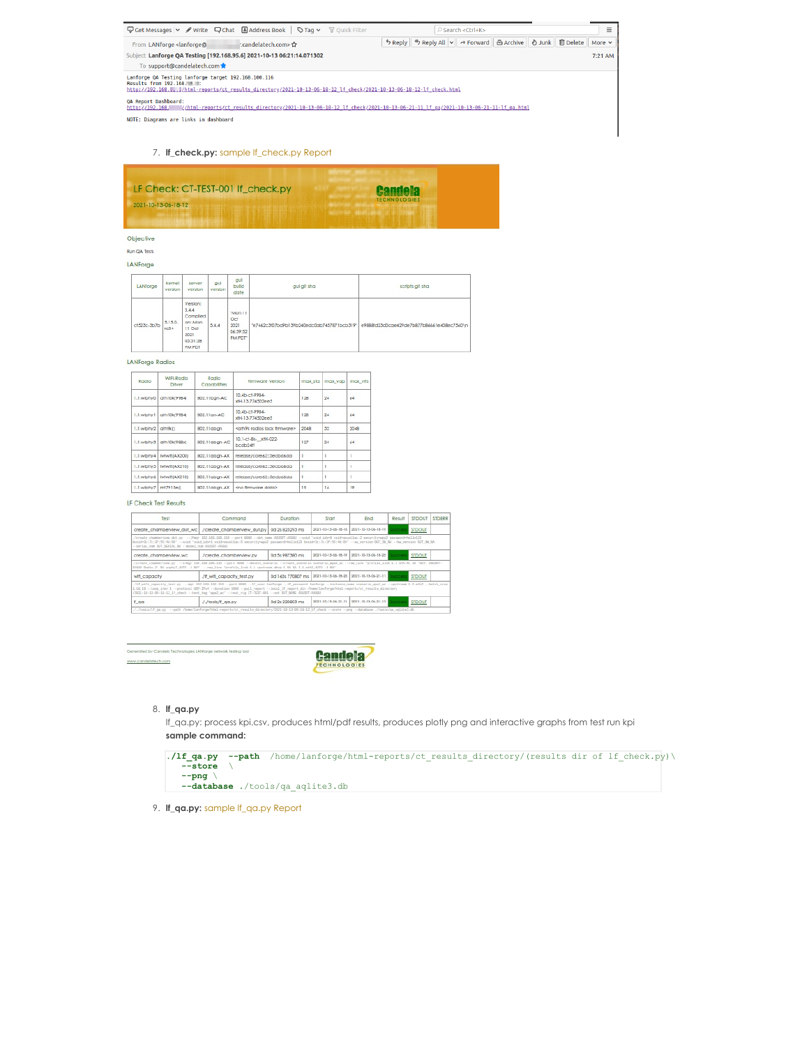| <b>D</b> Get Messages <b>v</b> / Write Q Chat 国Address Book   ♡ Tag v T Quick Filter                                                                                                                  | $Q$ Search <ctrl+k></ctrl+k>                                                   | Ξ       |
|-------------------------------------------------------------------------------------------------------------------------------------------------------------------------------------------------------|--------------------------------------------------------------------------------|---------|
| : candelatech.com> ☆<br>From LANforge <lanforge@< td=""><th>う Reply   % Reply All   v   → Forward   函 Archive   ♪ Junk   自 Delete   More v</th><td></td></lanforge@<>                                 | う Reply   % Reply All   v   → Forward   函 Archive   ♪ Junk   自 Delete   More v |         |
| Subject Lanforge OA Testing [192.168.95.6] 2021-10-13 06:21:14.071302                                                                                                                                 |                                                                                | 7:21 AM |
| To support@candelatech.com                                                                                                                                                                            |                                                                                |         |
| Lanforge QA Testing lanforge target 192.168.100.116<br>Results from 192.168. 2011<br>http://192.168J/html-reports/ct results directory/2021-10-13-06-18-12 lf check/2021-10-13-06-18-12-lf check.html |                                                                                |         |
| QA Report Dashboard:<br>/html-reports/ct results directory/2021-10-13-06-18-12 lf check/2021-10-13-06-21-11 lf ga/2021-10-13-06-21-11-lf ga.html<br>http://192.168.                                   |                                                                                |         |
| NOTE: Diagrams are links in dashboard                                                                                                                                                                 |                                                                                |         |

# 7. **lf\_check.py:** sample [lf\\_check.py](http://www.candelatech.com/examples/cb_eg_cv_view_basic_cicd_ap_testing/2021-10-13-06-18-12-lf_check.pdf) Report

| LF Check: CT-TEST-001 If check.py | <b>Candela</b>      |
|-----------------------------------|---------------------|
| 2021-10-13-06-18-12               | <b>TECHNOLOGIES</b> |

## Objective

**Run QA Tests** 

### LANForge

| LANforge    | kernel<br>version     | server<br>version                                                                | gul<br>verslon | gut<br>bulld<br>date                         | gul git sha                                | scripts all sha                            |
|-------------|-----------------------|----------------------------------------------------------------------------------|----------------|----------------------------------------------|--------------------------------------------|--------------------------------------------|
| ct523c-3b7b | $5.15.0-$<br>$r = 5+$ | Verslon:<br>5.4.4<br>Complied<br>on: Mon<br>11 Oct<br>2021<br>05:51:28<br>PM PDT | 5.4.4          | "Mon 11<br>Oct<br>2021<br>06:59:52<br>PM PDT | "e7462c3f07bd9b139b240edc0ab7437871bcb319" | e9888fd23d0cae429de7b877b86661e408ec7560\n |

### LANForge Radios

| Radio       | WIFLRadio<br>Driver | Radio<br><b>Capabilities</b> | <b>Rimware Version</b>                        | max sta | max yap | max vits |
|-------------|---------------------|------------------------------|-----------------------------------------------|---------|---------|----------|
| 1.1.wiphy0  | ath10k(9984)        | 802.11ban-AC                 | 10.4b.ct.9984.<br>xfH-13-774502ee5            | 128     | 24      | 64       |
| 1.1.wiphy1  | ath10k(9984)        | 802.11gn-AC                  | 10.4b-c1-9984-<br>xtH-13-774502ee5            | 128     | 24      | 64       |
| 1.1.wiphy2  | ath9kf1             | 802.11 abgm                  | <ath9k firmware="" lack="" radios=""></ath9k> | 2048    | 32      | 2048     |
| 1.1.wiphy3  | ath10ki988xl        | 802.11aban-AC                | 10.1-c1-8x- xfH-022-<br>bcdb24ff              | 127     | 24      | 64       |
| 1.1.wiphy4  | Iwhvifi(AX200)      | 802.11abgn-AX                | release/coreś2:5ecbd6da                       | ٠       |         |          |
| 1.1.wiphy5  | hybylfl(AX210)      | 802.11aban-AX                | release/core62:5ecbd6da                       | n,      |         |          |
| 1.1. winhy6 | Iwhvifi(A)(210)     | 802.11aban-AX                | release/core62:3ecbd6da                       | n,      |         |          |
| 1.1.wiphy7  | mt7915e()           | 802.11abgn-AX                | <no data="" firmware=""></no>                 | 19      | 16      | 19       |

### LF Check Test Results

| Test                                                  | Command                                                                                                                                                                                                                                                                                                                                                                                                                             | Duration          | Start               | End                                     | Result | <b>STDOUT</b> | <b>STDERR</b> |
|-------------------------------------------------------|-------------------------------------------------------------------------------------------------------------------------------------------------------------------------------------------------------------------------------------------------------------------------------------------------------------------------------------------------------------------------------------------------------------------------------------|-------------------|---------------------|-----------------------------------------|--------|---------------|---------------|
| create chamberview dut wc                             | /create_chamberview_dut.pv                                                                                                                                                                                                                                                                                                                                                                                                          | 0d 2s 825293 ms   | 2021-10-13-06-18-16 | 2021-10-13-06-18-19                     |        | <b>STDOUT</b> |               |
| -- serial num DUT SERIAL NA -- model num ASUSRT-AXEEU | /create_chamberylew_dut.py --1fmgr 192.169.199.115 --port 9999 --dut_name_ASUSRT-AXOSU --said 'ssid ide=9 said=asusilax-2 security=wea2 password=hello122<br>banid=Gc;7c;3f;55;4d;69'--axid 'axid ide=1 axid=axualiax-5 security=ex2 passerd=ballo122 banid=Gc;7c;3f;55;4d;64'--ax version DUT_SM_NA --bx version DUT_SM_NA --                                                                                                      |                   |                     |                                         |        |               |               |
| create chamberview wc                                 | Jcreate_chamberview.py                                                                                                                                                                                                                                                                                                                                                                                                              | 0d 5s 987380 ms   | 2021-10-13-06-18-19 | 2021-10-13-06-18-25                     |        | <b>STDOUT</b> |               |
|                                                       | ./create chamberyiew.py --1fmgr 192.188.199.115 --port 9999 --delete_scenario --create_scenario scenario spa2 sc --raw_line "profile_link 1.1 STA-AC 19 'BUT: ASUSRT-<br>AXEEU Radio-2' NA wichy7.AUTO -1 NA" -- raw line "profile link 1.1 upstream-dhcp 1 NA NA 1.1.eth2.AUTO -1 NA"                                                                                                                                              |                   |                     |                                         |        |               |               |
| will capacity                                         | ./# wifi capacity test.pv                                                                                                                                                                                                                                                                                                                                                                                                           | 0d 165s 770807 ms |                     | 2021-10-13-06-18-25 2021-10-13-06-21-11 |        | STDOUT        |               |
|                                                       | ./lf wifi capacity test.py --mpr 192.169.159.116 --port 9929 --1f user lanforge --1f password lanforge --instance name scenario won2 wc --upstream 1.1.eth2 --batch size<br>1.10.19 --loop iter 1 --protocol UDP-IPv4 --duration 6000 --pull report --local if report dir /home/lanforge/html-reports/ct results directory<br>/2021-10-13-05-19-12 lf check --test tag 'woul wo' --test rig CT-TEST-021 --set DUT NAME ASUSRT-AXORU |                   |                     |                                         |        |               |               |
| If ga                                                 | J./tools/If ga.pv                                                                                                                                                                                                                                                                                                                                                                                                                   | 0d 2s 220803 ms   | 2021-10-13-06-21-11 | 2021-10-13-06-21-13                     |        | <b>STDOUT</b> |               |
|                                                       | ././tools/1f os.pv --oath /home/lanforge/html-reports/ct results directory/2021-19-12-95-19-12 1f check --store --omg --database ./tools/os_solite2.db                                                                                                                                                                                                                                                                              |                   |                     |                                         |        |               |               |

Generated by Candela Technologies LANlarge network testing tool www.candelatech.com



# 8. **lf\_qa.py**

lf\_qa.py: process kpi.csv, produces html/pdf results, produces plotly png and interactive graphs from test run kpi **sample command:**

| $1 f$ qa.py --path | /home/lanforge/html-reports/ct results directory/(results dir of lf check.py) \ |  |
|--------------------|---------------------------------------------------------------------------------|--|
| --store            |                                                                                 |  |
| $--pn$             |                                                                                 |  |
|                    | --database ./tools/ga aglite3.db                                                |  |

9. **lf\_qa.py:** sample [lf\\_qa.py](http://www.candelatech.com/examples/cb_eg_cv_view_basic_cicd_ap_testing/2021-10-13-06-21-11-lf_qa.pdf) Report